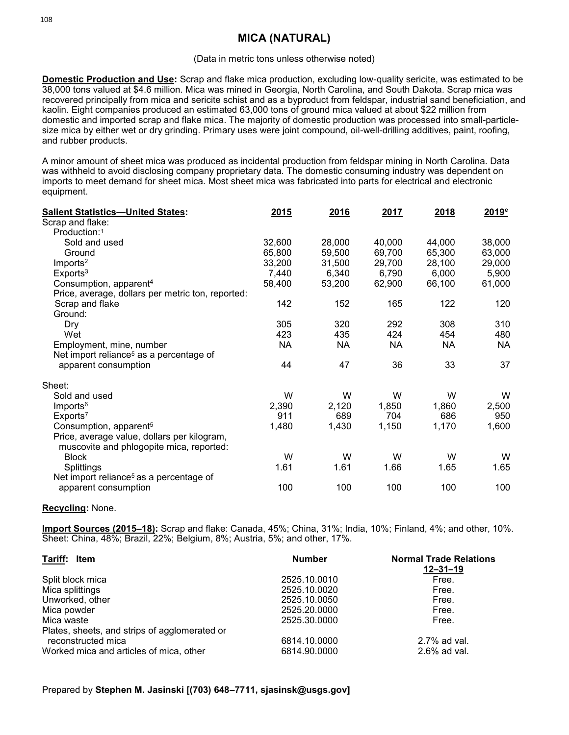# **MICA (NATURAL)**

#### (Data in metric tons unless otherwise noted)

**Domestic Production and Use:** Scrap and flake mica production, excluding low-quality sericite, was estimated to be 38,000 tons valued at \$4.6 million. Mica was mined in Georgia, North Carolina, and South Dakota. Scrap mica was recovered principally from mica and sericite schist and as a byproduct from feldspar, industrial sand beneficiation, and kaolin. Eight companies produced an estimated 63,000 tons of ground mica valued at about \$22 million from domestic and imported scrap and flake mica. The majority of domestic production was processed into small-particlesize mica by either wet or dry grinding. Primary uses were joint compound, oil-well-drilling additives, paint, roofing, and rubber products.

A minor amount of sheet mica was produced as incidental production from feldspar mining in North Carolina. Data was withheld to avoid disclosing company proprietary data. The domestic consuming industry was dependent on imports to meet demand for sheet mica. Most sheet mica was fabricated into parts for electrical and electronic equipment.

| Salient Statistics-United States:                   | 2015      | 2016      | 2017      | 2018      | 2019 <sup>e</sup> |
|-----------------------------------------------------|-----------|-----------|-----------|-----------|-------------------|
| Scrap and flake:                                    |           |           |           |           |                   |
| Production:1                                        |           |           |           |           |                   |
| Sold and used                                       | 32,600    | 28,000    | 40,000    | 44,000    | 38,000            |
| Ground                                              | 65,800    | 59,500    | 69,700    | 65,300    | 63,000            |
| Imports <sup>2</sup>                                | 33,200    | 31,500    | 29,700    | 28,100    | 29,000            |
| Exports <sup>3</sup>                                | 7,440     | 6,340     | 6,790     | 6,000     | 5,900             |
| Consumption, apparent <sup>4</sup>                  | 58,400    | 53,200    | 62,900    | 66,100    | 61,000            |
| Price, average, dollars per metric ton, reported:   |           |           |           |           |                   |
| Scrap and flake                                     | 142       | 152       | 165       | 122       | 120               |
| Ground:                                             |           |           |           |           |                   |
| Dry                                                 | 305       | 320       | 292       | 308       | 310               |
| Wet                                                 | 423       | 435       | 424       | 454       | 480               |
| Employment, mine, number                            | <b>NA</b> | <b>NA</b> | <b>NA</b> | <b>NA</b> | <b>NA</b>         |
| Net import reliance <sup>5</sup> as a percentage of |           |           |           |           |                   |
| apparent consumption                                | 44        | 47        | 36        | 33        | 37                |
| Sheet:                                              |           |           |           |           |                   |
| Sold and used                                       | W         | W         | W         | W         | W                 |
| Imports <sup>6</sup>                                | 2,390     | 2,120     | 1,850     | 1,860     | 2,500             |
| Exports <sup>7</sup>                                | 911       | 689       | 704       | 686       | 950               |
| Consumption, apparent <sup>5</sup>                  | 1,480     | 1,430     | 1,150     | 1,170     | 1,600             |
| Price, average value, dollars per kilogram,         |           |           |           |           |                   |
| muscovite and phlogopite mica, reported:            |           |           |           |           |                   |
| <b>Block</b>                                        | W         | W         | W         | W         | W                 |
| Splittings                                          | 1.61      | 1.61      | 1.66      | 1.65      | 1.65              |
| Net import reliance <sup>5</sup> as a percentage of |           |           |           |           |                   |
| apparent consumption                                | 100       | 100       | 100       | 100       | 100               |
|                                                     |           |           |           |           |                   |

#### **Recycling:** None.

**Import Sources (2015–18):** Scrap and flake: Canada, 45%; China, 31%; India, 10%; Finland, 4%; and other, 10%. Sheet: China, 48%; Brazil, 22%; Belgium, 8%; Austria, 5%; and other, 17%.

| Tariff: Item                                  | <b>Number</b> | <b>Normal Trade Relations</b><br>$12 - 31 - 19$ |
|-----------------------------------------------|---------------|-------------------------------------------------|
| Split block mica                              | 2525.10.0010  | Free.                                           |
| Mica splittings                               | 2525.10.0020  | Free.                                           |
| Unworked, other                               | 2525.10.0050  | Free.                                           |
| Mica powder                                   | 2525.20.0000  | Free.                                           |
| Mica waste                                    | 2525.30.0000  | Free.                                           |
| Plates, sheets, and strips of agglomerated or |               |                                                 |
| reconstructed mica                            | 6814.10.0000  | $2.7\%$ ad val.                                 |
| Worked mica and articles of mica, other       | 6814.90.0000  | 2.6% ad val.                                    |

## Prepared by **Stephen M. Jasinski [(703) 648–7711, sjasinsk@usgs.gov]**